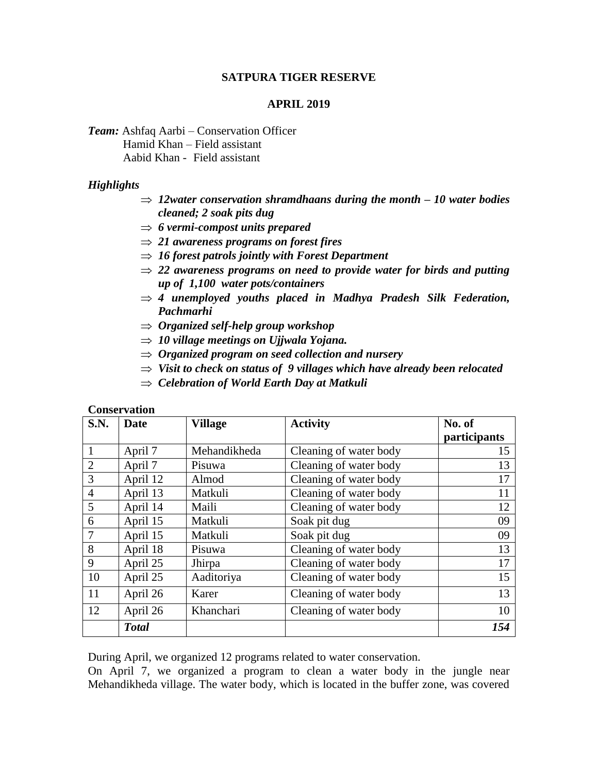### **SATPURA TIGER RESERVE**

### **APRIL 2019**

*Team:* Ashfaq Aarbi – Conservation Officer Hamid Khan – Field assistant Aabid Khan - Field assistant

### *Highlights*

- $\Rightarrow$  12water conservation shramdhaans during the month  $-10$  water bodies *cleaned; 2 soak pits dug*
- *6 vermi-compost units prepared*
- *21 awareness programs on forest fires*
- *16 forest patrols jointly with Forest Department*
- $\Rightarrow$  22 *awareness programs on need to provide water for birds and putting up of 1,100 water pots/containers*
- $\Rightarrow$  4 *unemployed youths placed in Madhya Pradesh Silk Federation, Pachmarhi*
- *Organized self-help group workshop*
- *10 village meetings on Ujjwala Yojana.*
- *Organized program on seed collection and nursery*
- *Visit to check on status of 9 villages which have already been relocated*
- *Celebration of World Earth Day at Matkuli*

#### **Conservation**

| <b>S.N.</b>    | Date         | Village      | <b>Activity</b>        | No. of       |
|----------------|--------------|--------------|------------------------|--------------|
|                |              |              |                        | participants |
|                | April 7      | Mehandikheda | Cleaning of water body | 15           |
| $\overline{2}$ | April 7      | Pisuwa       | Cleaning of water body | 13           |
| 3              | April 12     | Almod        | Cleaning of water body | 17           |
| $\overline{4}$ | April 13     | Matkuli      | Cleaning of water body | 11           |
| 5              | April 14     | Maili        | Cleaning of water body | 12           |
| 6              | April 15     | Matkuli      | Soak pit dug           | 09           |
| $\overline{7}$ | April 15     | Matkuli      | Soak pit dug           | 09           |
| 8              | April 18     | Pisuwa       | Cleaning of water body | 13           |
| 9              | April 25     | Jhirpa       | Cleaning of water body | 17           |
| 10             | April 25     | Aaditoriya   | Cleaning of water body | 15           |
| 11             | April 26     | Karer        | Cleaning of water body | 13           |
| 12             | April 26     | Khanchari    | Cleaning of water body | 10           |
|                | <b>Total</b> |              |                        | 154          |

During April, we organized 12 programs related to water conservation.

On April 7, we organized a program to clean a water body in the jungle near Mehandikheda village. The water body, which is located in the buffer zone, was covered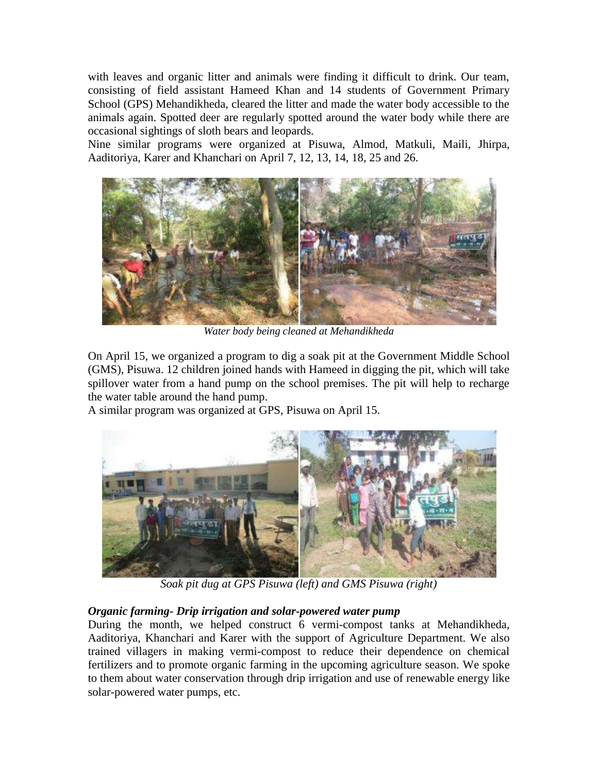with leaves and organic litter and animals were finding it difficult to drink. Our team, consisting of field assistant Hameed Khan and 14 students of Government Primary School (GPS) Mehandikheda, cleared the litter and made the water body accessible to the animals again. Spotted deer are regularly spotted around the water body while there are occasional sightings of sloth bears and leopards.

Nine similar programs were organized at Pisuwa, Almod, Matkuli, Maili, Jhirpa, Aaditoriya, Karer and Khanchari on April 7, 12, 13, 14, 18, 25 and 26.



*Water body being cleaned at Mehandikheda*

On April 15, we organized a program to dig a soak pit at the Government Middle School (GMS), Pisuwa. 12 children joined hands with Hameed in digging the pit, which will take spillover water from a hand pump on the school premises. The pit will help to recharge the water table around the hand pump.

A similar program was organized at GPS, Pisuwa on April 15.



*Soak pit dug at GPS Pisuwa (left) and GMS Pisuwa (right)*

# *Organic farming- Drip irrigation and solar-powered water pump*

During the month, we helped construct 6 vermi-compost tanks at Mehandikheda, Aaditoriya, Khanchari and Karer with the support of Agriculture Department. We also trained villagers in making vermi-compost to reduce their dependence on chemical fertilizers and to promote organic farming in the upcoming agriculture season. We spoke to them about water conservation through drip irrigation and use of renewable energy like solar-powered water pumps, etc.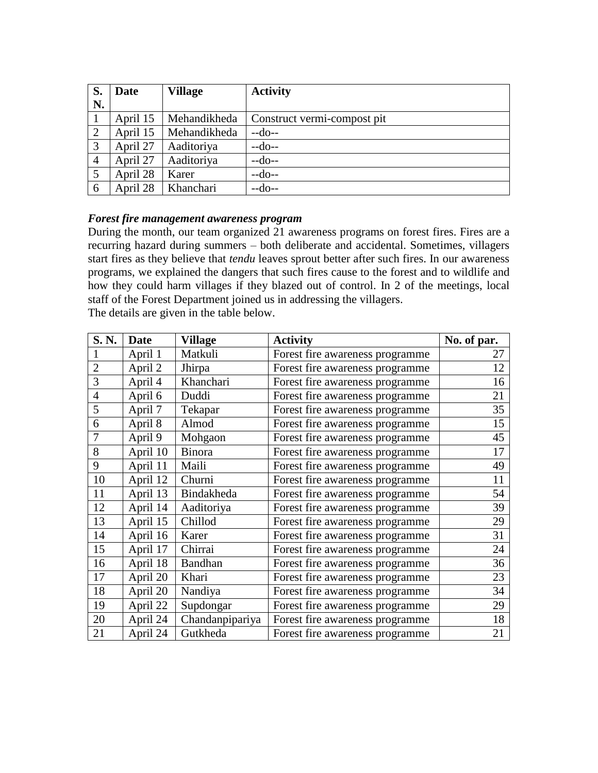| S.             | <b>Date</b> | <b>Village</b> | <b>Activity</b>             |
|----------------|-------------|----------------|-----------------------------|
| N.             |             |                |                             |
|                | April 15    | Mehandikheda   | Construct vermi-compost pit |
| 2              | April 15    | Mehandikheda   | $-do-$                      |
| 3              | April 27    | Aaditoriya     | $-do-$                      |
| $\overline{4}$ | April 27    | Aaditoriya     | $-do-$                      |
| $\overline{5}$ | April 28    | Karer          | $-do-$                      |
| 6              | April 28    | Khanchari      | $-do-$                      |

### *Forest fire management awareness program*

During the month, our team organized 21 awareness programs on forest fires. Fires are a recurring hazard during summers – both deliberate and accidental. Sometimes, villagers start fires as they believe that *tendu* leaves sprout better after such fires. In our awareness programs, we explained the dangers that such fires cause to the forest and to wildlife and how they could harm villages if they blazed out of control. In 2 of the meetings, local staff of the Forest Department joined us in addressing the villagers.

The details are given in the table below. **S. N.** | **Date** | **Village** | **Activity** | **No. of par.** 1 | April 1 | Matkuli | Forest fire awareness programme | 27 2 April 2 Jhirpa Forest fire awareness programme 12 3 April 4 Khanchari Forest fire awareness programme 16 4 April 6 Duddi Forest fire awareness programme 21 5 April 7 Tekapar Forest fire awareness programme 35 6 April 8 Almod Forest fire awareness programme 15 7 April 9 Mohgaon Forest fire awareness programme 45 8 April 10 | Binora | Forest fire awareness programme | 17 9 | April 11 | Maili | Forest fire awareness programme | 49 10 | April 12 | Churni | Forest fire awareness programme | 11 11 | April 13 | Bindakheda | Forest fire awareness programme | 54 12 April 14 Aaditoriya Forest fire awareness programme 39 13 | April 15 | Chillod | Forest fire awareness programme | 29 14 | April 16 | Karer | Forest fire awareness programme | 31 15 April 17 Chirrai Forest fire awareness programme 24 16 | April 18 | Bandhan | Forest fire awareness programme | 36 17 | April 20 | Khari | Forest fire awareness programme | 23 18 April 20 Nandiya Forest fire awareness programme 34 19 | April 22 | Supdongar | Forest fire awareness programme | 29 20 April 24 | Chandanpipariya | Forest fire awareness programme | 18 21 April 24 Gutkheda Forest fire awareness programme 21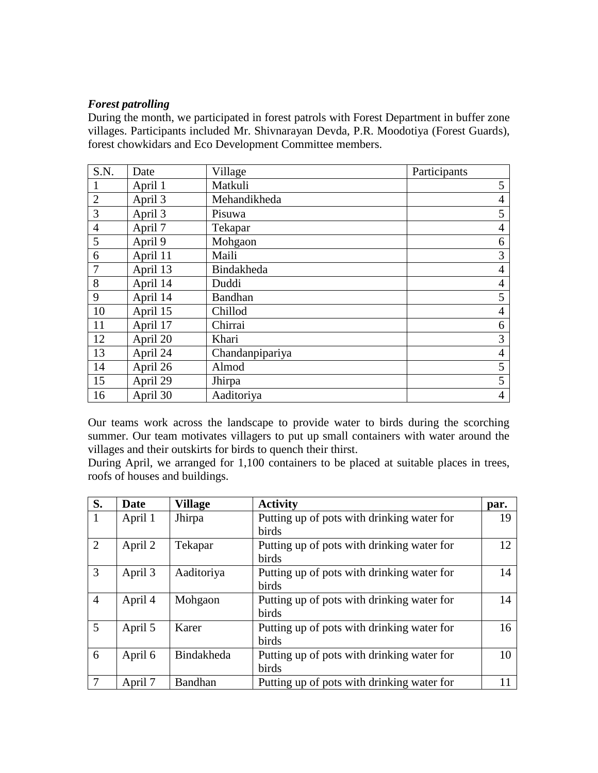### *Forest patrolling*

During the month, we participated in forest patrols with Forest Department in buffer zone villages. Participants included Mr. Shivnarayan Devda, P.R. Moodotiya (Forest Guards), forest chowkidars and Eco Development Committee members.

| S.N.           | Date     | Village         | Participants   |
|----------------|----------|-----------------|----------------|
|                | April 1  | Matkuli         | 5              |
| $\overline{2}$ | April 3  | Mehandikheda    | $\overline{4}$ |
| 3              | April 3  | Pisuwa          | 5              |
| $\overline{4}$ | April 7  | Tekapar         | $\overline{4}$ |
| 5              | April 9  | Mohgaon         | 6              |
| 6              | April 11 | Maili           | 3              |
| $\overline{7}$ | April 13 | Bindakheda      | $\overline{4}$ |
| 8              | April 14 | Duddi           | $\overline{4}$ |
| 9              | April 14 | <b>Bandhan</b>  | 5              |
| 10             | April 15 | Chillod         | $\overline{4}$ |
| 11             | April 17 | Chirrai         | 6              |
| 12             | April 20 | Khari           | 3              |
| 13             | April 24 | Chandanpipariya | $\overline{4}$ |
| 14             | April 26 | Almod           | 5              |
| 15             | April 29 | Jhirpa          | 5              |
| 16             | April 30 | Aaditoriya      | $\overline{4}$ |

Our teams work across the landscape to provide water to birds during the scorching summer. Our team motivates villagers to put up small containers with water around the villages and their outskirts for birds to quench their thirst.

During April, we arranged for 1,100 containers to be placed at suitable places in trees, roofs of houses and buildings.

| S.             | <b>Date</b> | <b>Village</b> | <b>Activity</b>                            | par. |
|----------------|-------------|----------------|--------------------------------------------|------|
| 1              | April 1     | Jhirpa         | Putting up of pots with drinking water for | 19   |
|                |             |                | birds                                      |      |
| $\overline{2}$ | April 2     | Tekapar        | Putting up of pots with drinking water for | 12   |
|                |             |                | birds                                      |      |
| 3              | April 3     | Aaditoriya     | Putting up of pots with drinking water for | 14   |
|                |             |                | birds                                      |      |
| $\overline{4}$ | April 4     | Mohgaon        | Putting up of pots with drinking water for | 14   |
|                |             |                | birds                                      |      |
| 5              | April 5     | Karer          | Putting up of pots with drinking water for | 16   |
|                |             |                | birds                                      |      |
| 6              | April 6     | Bindakheda     | Putting up of pots with drinking water for | 10   |
|                |             |                | birds                                      |      |
| $\overline{7}$ | April 7     | <b>Bandhan</b> | Putting up of pots with drinking water for |      |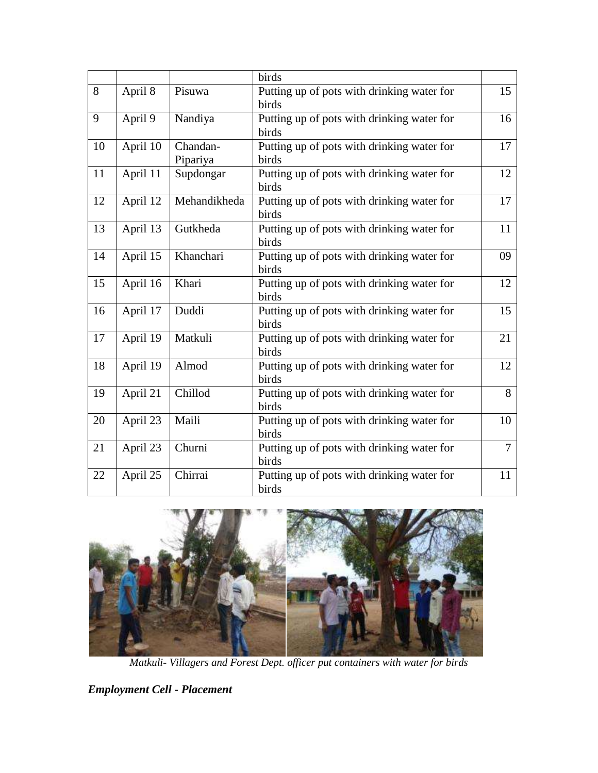| 15<br>16       |
|----------------|
|                |
|                |
|                |
|                |
|                |
| 17             |
|                |
| 12             |
|                |
| 17             |
|                |
| 11             |
|                |
| 09             |
|                |
| 12             |
|                |
|                |
| 15             |
|                |
| 21             |
|                |
| 12             |
|                |
| 8              |
|                |
| 10             |
|                |
| $\overline{7}$ |
|                |
| 11             |
|                |
|                |



*Matkuli- Villagers and Forest Dept. officer put containers with water for birds*

*Employment Cell - Placement*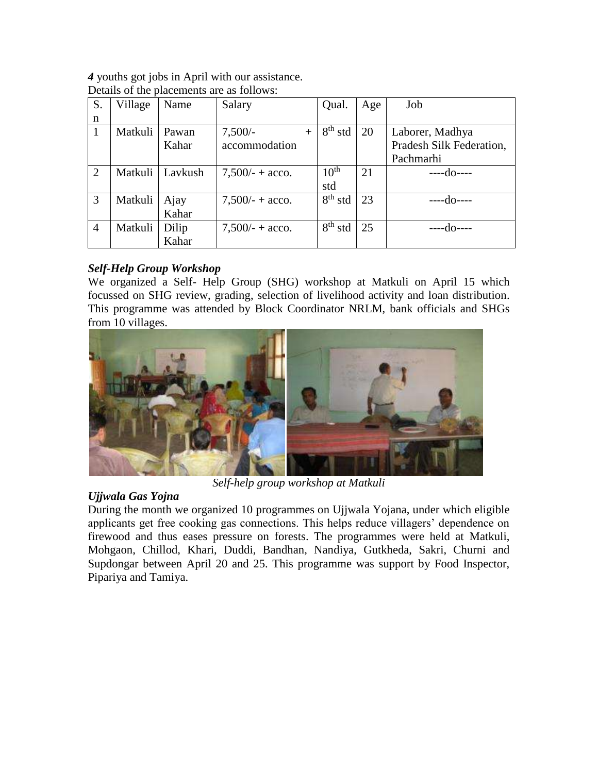*4* youths got jobs in April with our assistance. Details of the placements are as follows:

| S.             | Village | Name    | Salary             | Qual.                            | Age | Job                      |
|----------------|---------|---------|--------------------|----------------------------------|-----|--------------------------|
| n              |         |         |                    |                                  |     |                          |
| 1              | Matkuli | Pawan   | $7,500/-$<br>$+$   | $8th$ std                        | 20  | Laborer, Madhya          |
|                |         | Kahar   | accommodation      |                                  |     | Pradesh Silk Federation, |
|                |         |         |                    |                                  |     | Pachmarhi                |
| $\overline{2}$ | Matkuli | Lavkush | $7,500/ - +$ acco. | 10 <sup>th</sup>                 | 21  | ----do----               |
|                |         |         |                    | std                              |     |                          |
| 3              | Matkuli | Ajay    | $7,500/ - +$ acco. | $\overline{8}$ <sup>th</sup> std | 23  | ----d∩----               |
|                |         | Kahar   |                    |                                  |     |                          |
| $\overline{4}$ | Matkuli | Dilip   | $7,500/ - +$ acco. | $8th$ std                        | 25  |                          |
|                |         | Kahar   |                    |                                  |     |                          |

*Self-Help Group Workshop*

We organized a Self- Help Group (SHG) workshop at Matkuli on April 15 which focussed on SHG review, grading, selection of livelihood activity and loan distribution. This programme was attended by Block Coordinator NRLM, bank officials and SHGs from 10 villages.



*Self-help group workshop at Matkuli*

# *Ujjwala Gas Yojna*

During the month we organized 10 programmes on Ujjwala Yojana, under which eligible applicants get free cooking gas connections. This helps reduce villagers' dependence on firewood and thus eases pressure on forests. The programmes were held at Matkuli, Mohgaon, Chillod, Khari, Duddi, Bandhan, Nandiya, Gutkheda, Sakri, Churni and Supdongar between April 20 and 25. This programme was support by Food Inspector, Pipariya and Tamiya.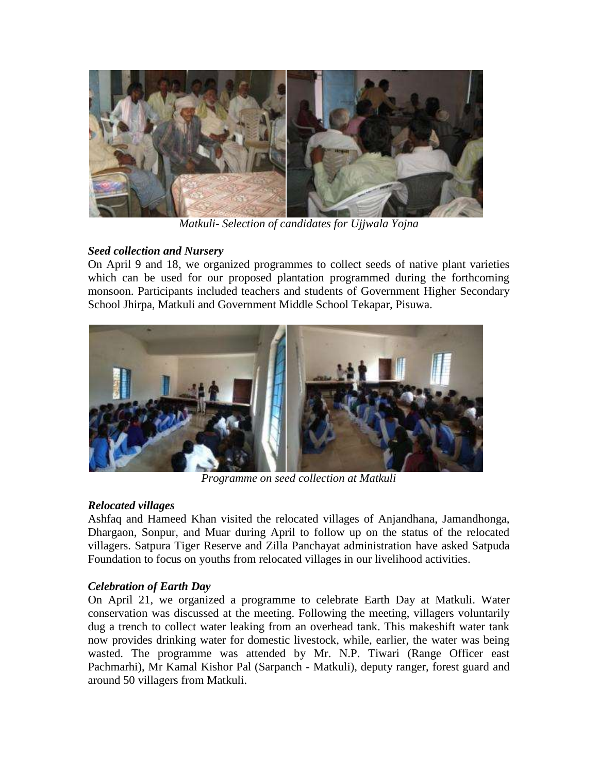

*Matkuli- Selection of candidates for Ujjwala Yojna*

# *Seed collection and Nursery*

On April 9 and 18, we organized programmes to collect seeds of native plant varieties which can be used for our proposed plantation programmed during the forthcoming monsoon. Participants included teachers and students of Government Higher Secondary School Jhirpa, Matkuli and Government Middle School Tekapar, Pisuwa.



*Programme on seed collection at Matkuli*

# *Relocated villages*

Ashfaq and Hameed Khan visited the relocated villages of Anjandhana, Jamandhonga, Dhargaon, Sonpur, and Muar during April to follow up on the status of the relocated villagers. Satpura Tiger Reserve and Zilla Panchayat administration have asked Satpuda Foundation to focus on youths from relocated villages in our livelihood activities.

# *Celebration of Earth Day*

On April 21, we organized a programme to celebrate Earth Day at Matkuli. Water conservation was discussed at the meeting. Following the meeting, villagers voluntarily dug a trench to collect water leaking from an overhead tank. This makeshift water tank now provides drinking water for domestic livestock, while, earlier, the water was being wasted. The programme was attended by Mr. N.P. Tiwari (Range Officer east Pachmarhi), Mr Kamal Kishor Pal (Sarpanch - Matkuli), deputy ranger, forest guard and around 50 villagers from Matkuli.